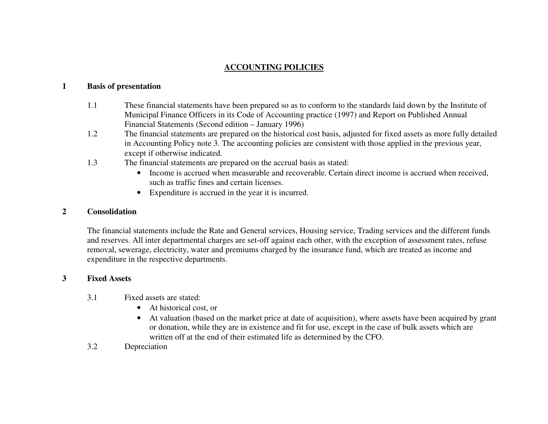# **ACCOUNTING POLICIES**

# **1Basis of presentation**

- 1.1 These financial statements have been prepared so as to conform to the standards laid down by the Institute of Municipal Finance Officers in its Code of Accounting practice (1997) and Report on Published Annual Financial Statements (Second edition – January 1996)
- 1.2 The financial statements are prepared on the historical cost basis, adjusted for fixed assets as more fully detailed in Accounting Policy note 3. The accounting policies are consistent with those applied in the previous year, excep<sup>t</sup> if otherwise indicated.
- 1.3 The financial statements are prepared on the accrual basis as stated:
	- Income is accrued when measurable and recoverable. Certain direct income is accrued when received, such as traffic fines and certain licenses.
	- Expenditure is accrued in the year it is incurred.

#### **2Consolidation**

The financial statements include the Rate and General services, Housing service, Trading services and the different funds and reserves. All inter departmental charges are set-off against each other, with the exception of assessment rates, refuse removal, sewerage, electricity, water and premiums charged by the insurance fund, which are treated as income and expenditure in the respective departments.

# **3Fixed Assets**

- 3.1 Fixed assets are stated:
	- •At historical cost, or
	- At valuation (based on the market price at date of acquisition), where assets have been acquired by gran<sup>t</sup> or donation, while they are in existence and fit for use, excep<sup>t</sup> in the case of bulk assets which are written off at the end of their estimated life as determined by the CFO.
- 3.2Depreciation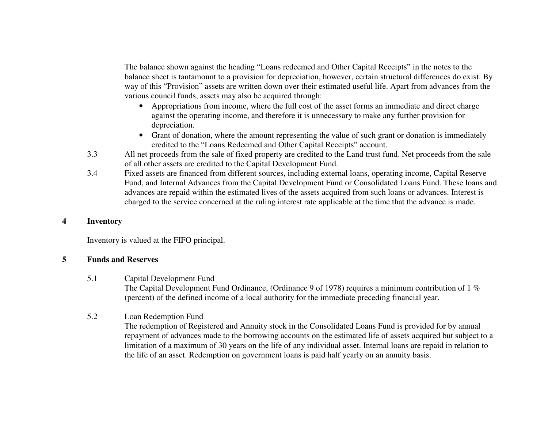The balance shown against the heading "Loans redeemed and Other Capital Receipts" in the notes to the balance sheet is tantamount to <sup>a</sup> provision for depreciation, however, certain structural differences do exist. By way of this "Provision" assets are written down over their estimated useful life. Apart from advances from the various council funds, assets may also be acquired through:

- Appropriations from income, where the full cost of the asset forms an immediate and direct charge against the operating income, and therefore it is unnecessary to make any further provision for depreciation.
- Grant of donation, where the amount representing the value of such gran<sup>t</sup> or donation is immediately credited to the "Loans Redeemed and Other Capital Receipts" account.
- 3.3 All net proceeds from the sale of fixed property are credited to the Land trust fund. Net proceeds from the sale of all other assets are credited to the Capital Development Fund.
- 3.4 Fixed assets are financed from different sources, including external loans, operating income, Capital Reserve Fund, and Internal Advances from the Capital Development Fund or Consolidated Loans Fund. These loans and advances are repaid within the estimated lives of the assets acquired from such loans or advances. Interest is charged to the service concerned at the ruling interest rate applicable at the time that the advance is made.

# **4Inventory**

Inventory is valued at the FIFO principal.

# **5Funds and Reserves**

5.1Capital Development Fund

> The Capital Development Fund Ordinance, (Ordinance 9 of 1978) requires a minimum contribution of 1  $\%$ (percent) of the defined income of <sup>a</sup> local authority for the immediate preceding financial year.

# 5.2Loan Redemption Fund

The redemption of Registered and Annuity stock in the Consolidated Loans Fund is provided for by annual repaymen<sup>t</sup> of advances made to the borrowing accounts on the estimated life of assets acquired but subject to <sup>a</sup> limitation of <sup>a</sup> maximum of 30 years on the life of any individual asset. Internal loans are repaid in relation to the life of an asset. Redemption on governmen<sup>t</sup> loans is paid half yearly on an annuity basis.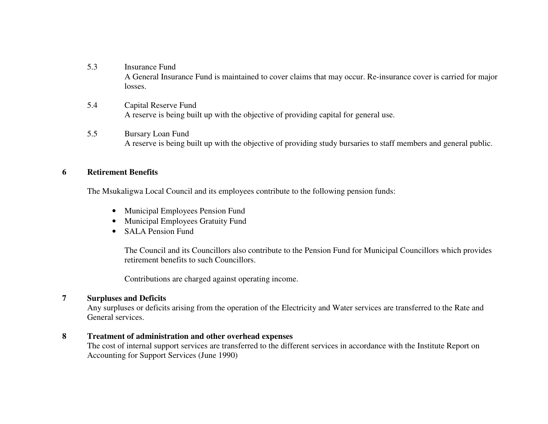- 5.3 Insurance Fund A General Insurance Fund is maintained to cover claims that may occur. Re-insurance cover is carried for major losses.
- 5.4 Capital Reserve Fund A reserve is being built up with the objective of providing capital for general use.
- 5.5 Bursary Loan Fund A reserve is being built up with the objective of providing study bursaries to staff members and general public.

#### **6Retirement Benefits**

The Msukaligwa Local Council and its employees contribute to the following pension funds:

- Municipal Employees Pension Fund
- Municipal Employees Gratuity Fund
- **SALA Pension Fund**

The Council and its Councillors also contribute to the Pension Fund for Municipal Councillors which provides retirement benefits to such Councillors.

Contributions are charged against operating income.

# **7Surpluses and Deficits**

Any surpluses or deficits arising from the operation of the Electricity and Water services are transferred to the Rate and General services.

# **8Treatment of administration and other overhead expenses**

The cost of internal suppor<sup>t</sup> services are transferred to the different services in accordance with the Institute Report on Accounting for Support Services (June 1990)